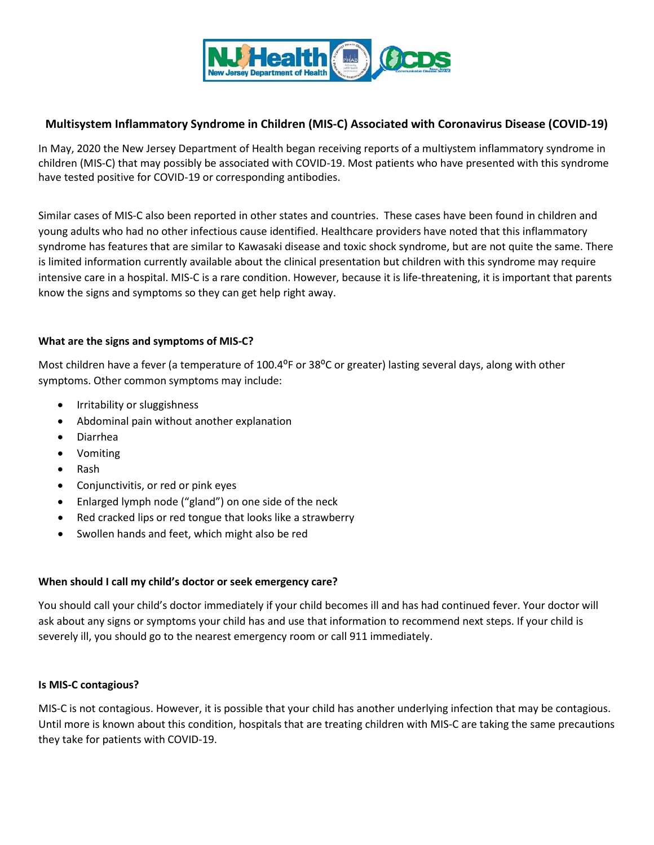

# **Multisystem Inflammatory Syndrome in Children (MIS-C) Associated with Coronavirus Disease (COVID-19)**

In May, 2020 the New Jersey Department of Health began receiving reports of a multiystem inflammatory syndrome in children (MIS-C) that may possibly be associated with COVID-19. Most patients who have presented with this syndrome have tested positive for COVID-19 or corresponding antibodies.

Similar cases of MIS-C also been reported in other states and countries. These cases have been found in children and young adults who had no other infectious cause identified. Healthcare providers have noted that this inflammatory syndrome has features that are similar to Kawasaki disease and toxic shock syndrome, but are not quite the same. There is limited information currently available about the clinical presentation but children with this syndrome may require intensive care in a hospital. MIS-C is a rare condition. However, because it is life-threatening, it is important that parents know the signs and symptoms so they can get help right away.

## **What are the signs and symptoms of MIS-C?**

Most children have a fever (a temperature of 100.4<sup>o</sup>F or 38<sup>o</sup>C or greater) lasting several days, along with other symptoms. Other common symptoms may include:

- Irritability or sluggishness
- Abdominal pain without another explanation
- Diarrhea
- Vomiting
- Rash
- Conjunctivitis, or red or pink eyes
- Enlarged lymph node ("gland") on one side of the neck
- Red cracked lips or red tongue that looks like a strawberry
- Swollen hands and feet, which might also be red

## **When should I call my child's doctor or seek emergency care?**

You should call your child's doctor immediately if your child becomes ill and has had continued fever. Your doctor will ask about any signs or symptoms your child has and use that information to recommend next steps. If your child is severely ill, you should go to the nearest emergency room or call 911 immediately.

## **Is MIS-C contagious?**

MIS-C is not contagious. However, it is possible that your child has another underlying infection that may be contagious. Until more is known about this condition, hospitals that are treating children with MIS-C are taking the same precautions they take for patients with COVID-19.